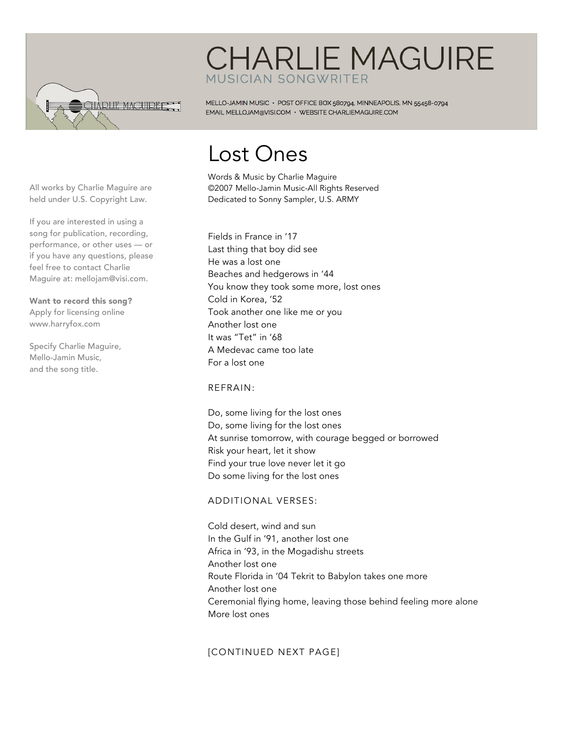

### **CHARLIE MAGUIRE MUSICIAN SONGWRITER**

MELLO-JAMIN MUSIC · POST OFFICE BOX 580794, MINNEAPOLIS, MN 55458-0794 EMAIL MELLOJAM@VISI.COM · WEBSITE CHARLIEMAGUIRE.COM

# Lost Ones

Words & Music by Charlie Maguire ©2007 Mello-Jamin Music-All Rights Reserved Dedicated to Sonny Sampler, U.S. ARMY

If you are interested in using a song for publication, recording, performance, or other uses — or if you have any questions, please feel free to contact Charlie Maguire at: mellojam@visi.com.

All works by Charlie Maguire are held under U.S. Copyright Law.

Want to record this song? Apply for licensing online www.harryfox.com

Specify Charlie Maguire, Mello-Jamin Music, and the song title.

Fields in France in '17 Last thing that boy did see He was a lost one Beaches and hedgerows in '44 You know they took some more, lost ones Cold in Korea, '52 Took another one like me or you Another lost one It was "Tet" in '68 A Medevac came too late For a lost one

#### REFRAIN:

Do, some living for the lost ones Do, some living for the lost ones At sunrise tomorrow, with courage begged or borrowed Risk your heart, let it show Find your true love never let it go Do some living for the lost ones

#### ADDITIONAL VERSES:

Cold desert, wind and sun In the Gulf in '91, another lost one Africa in '93, in the Mogadishu streets Another lost one Route Florida in '04 Tekrit to Babylon takes one more Another lost one Ceremonial flying home, leaving those behind feeling more alone More lost ones

### [CONTINUED NEXT PAGE]